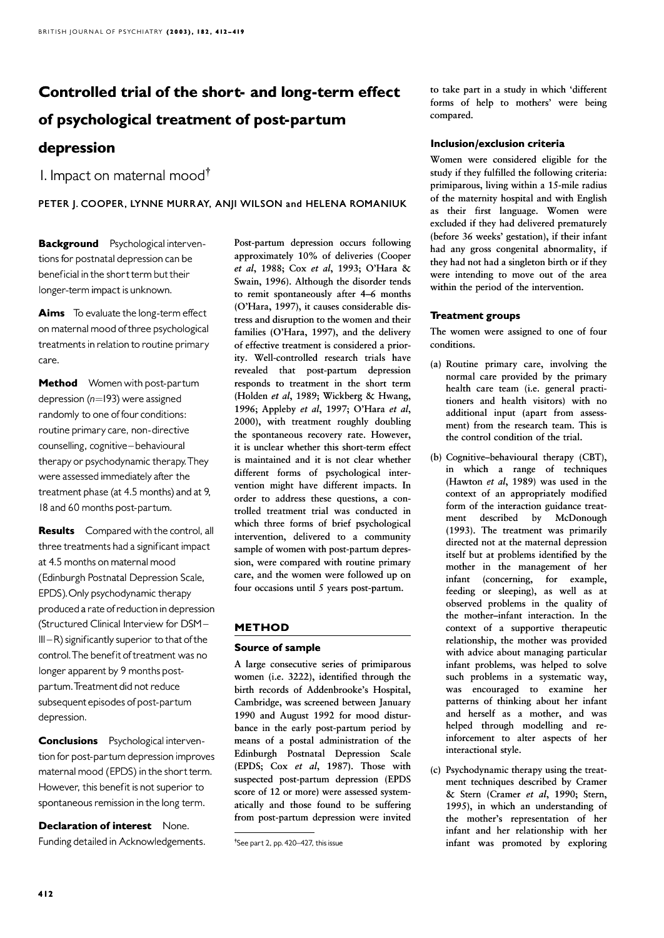# Controlled trial of the short- and long-term effect of psychological treatment of post-partum depression

1. Impact on maternal mood $^{\dagger}$ 

PETER J. COOPER, LYNNE MURRAY, ANJI WILSON and HELENA ROMANIUK

**Background** Psychological interventions for postnatal depression can be beneficial in the short term but their longer-term impact is unknown.

Aims To evaluate the long-term effect on maternal mood of three psychological treatments in relation to routine primary care.

Method Women with post-partum depression ( $n=193$ ) were assigned randomly to one of four conditions: routine primary care, non-directive counselling, cognitive-behavioural therapy or psychodynamic therapy.They were assessed immediately after the treatment phase (at 4.5 months) and at 9, 18 and 60 months post-partum.

Results Compared with the control, all three treatments had a significant impact at 4.5 months on maternal mood (Edinburgh Postnatal Depression Scale, EPDS). Only psychodynamic therapy produced a rate of reduction in depression (Structured Clinical Interview for DSM- $III - R$ ) significantly superior to that of the control. The benefit of treatment was no longer apparent by 9 months postpartum.Treatment did not reduce subsequent episodes of post-partum depression.

**Conclusions** Psychological intervention for post-partum depressionimproves maternal mood (EPDS) in the short term. However, this benefit is not superior to spontaneous remission in the long term.

Declaration of interest None. Funding detailed in Acknowledgements. Post-partum depression occurs following approximately 10% of deliveries (Cooper et al, 1988; Cox et al, 1993; O'Hara & Swain, 1996). Although the disorder tends to remit spontaneously after 4–6 months (O'Hara, 1997), it causes considerable distress and disruption to the women and their families (O'Hara, 1997), and the delivery of effective treatment is considered a priority. Well-controlled research trials have revealed that post-partum depression responds to treatment in the short term (Holden et al, 1989; Wickberg & Hwang, 1996; Appleby et al, 1997; O'Hara et al, 2000), with treatment roughly doubling the spontaneous recovery rate. However, it is unclear whether this short-term effect is maintained and it is not clear whether different forms of psychological intervention might have different impacts. In order to address these questions, a controlled treatment trial was conducted in which three forms of brief psychological intervention, delivered to a community sample of women with post-partum depression, were compared with routine primary care, and the women were followed up on four occasions until 5 years post-partum.

# METHOD

# Source of sample

A large consecutive series of primiparous women (i.e. 3222), identified through the birth records of Addenbrooke's Hospital, Cambridge, was screened between January 1990 and August 1992 for mood disturbance in the early post-partum period by means of a postal administration of the Edinburgh Postnatal Depression Scale (EPDS; Cox et al, 1987). Those with suspected post-partum depression (EPDS score of 12 or more) were assessed systematically and those found to be suffering from post-partum depression were invited

to take part in a study in which 'different forms of help to mothers' were being compared.

# Inclusion/exclusion criteria

Women were considered eligible for the study if they fulfilled the following criteria: primiparous, living within a 15-mile radius of the maternity hospital and with English as their first language. Women were excluded if they had delivered prematurely (before 36 weeks' gestation), if their infant had any gross congenital abnormality, if they had not had a singleton birth or if they were intending to move out of the area within the period of the intervention.

# Treatment groups

The women were assigned to one of four conditions.

- (a) Routine primary care, involving the normal care provided by the primary health care team (i.e. general practitioners and health visitors) with no additional input (apart from assessment) from the research team. This is the control condition of the trial.
- (b) Cognitive–behavioural therapy (CBT), in which a range of techniques (Hawton et al, 1989) was used in the context of an appropriately modified form of the interaction guidance treatment described by McDonough (1993). The treatment was primarily directed not at the maternal depression itself but at problems identified by the mother in the management of her infant (concerning, for example, feeding or sleeping), as well as at observed problems in the quality of the mother–infant interaction. In the context of a supportive therapeutic relationship, the mother was provided with advice about managing particular infant problems, was helped to solve such problems in a systematic way, was encouraged to examine her patterns of thinking about her infant and herself as a mother, and was helped through modelling and reinforcement to alter aspects of her interactional style.
- $(c)$  Psychodynamic therapy using the treatment techniques described by Cramer & Stern (Cramer et al, 1990; Stern, 1995), in which an understanding of the mother's representation of her infant and her relationship with her infant was promoted by exploring

<sup>&</sup>lt;sup>†</sup>See part 2, pp. 420–427, this issue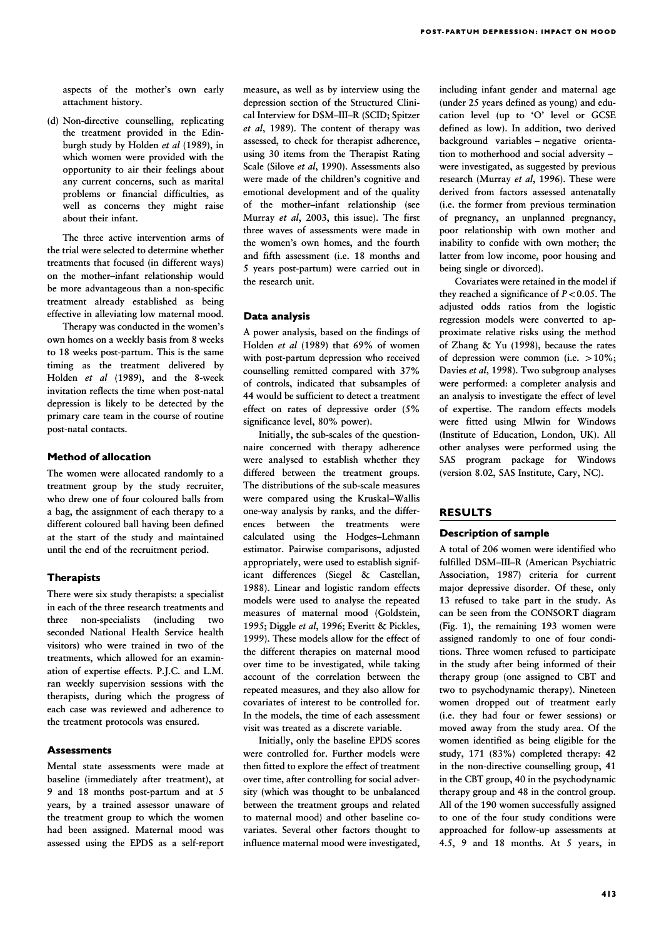aspects of the mother's own early attachment history.

(d) Non-directive counselling, replicating the treatment provided in the Edinburgh study by Holden et al (1989), in which women were provided with the opportunity to air their feelings about any current concerns, such as marital problems or financial difficulties, as well as concerns they might raise about their infant.

The three active intervention arms of the trial were selected to determine whether treatments that focused (in different ways) on the mother–infant relationship would be more advantageous than a non-specific treatment already established as being effective in alleviating low maternal mood.

Therapy was conducted in the women's own homes on a weekly basis from 8 weeks to 18 weeks post-partum. This is the same timing as the treatment delivered by Holden et al (1989), and the 8-week invitation reflects the time when post-natal depression is likely to be detected by the primary care team in the course of routine post-natal contacts.

# Method of allocation

The women were allocated randomly to a treatment group by the study recruiter, who drew one of four coloured balls from a bag, the assignment of each therapy to a different coloured ball having been defined at the start of the study and maintained until the end of the recruitment period.

## **Therapists**

There were six study therapists: a specialist in each of the three research treatments and three non-specialists (including two seconded National Health Service health visitors) who were trained in two of the treatments, which allowed for an examination of expertise effects. P.J.C. and L.M. ran weekly supervision sessions with the therapists, during which the progress of each case was reviewed and adherence to the treatment protocols was ensured.

## **Assessments**

Mental state assessments were made at baseline (immediately after treatment), at 9 and 18 months post-partum and at 5 years, by a trained assessor unaware of the treatment group to which the women had been assigned. Maternal mood was assessed using the EPDS as a self-report measure, as well as by interview using the depression section of the Structured Clinical Interview for DSM–III–R (SCID; Spitzer et al, 1989). The content of therapy was assessed, to check for therapist adherence, using 30 items from the Therapist Rating Scale (Silove et al, 1990). Assessments also were made of the children's cognitive and emotional development and of the quality of the mother–infant relationship (see Murray et al, 2003, this issue). The first three waves of assessments were made in the women's own homes, and the fourth and fifth assessment (i.e. 18 months and 5 years post-partum) were carried out in the research unit.

#### Data analysis

A power analysis, based on the findings of Holden et al (1989) that 69% of women with post-partum depression who received counselling remitted compared with 37% of controls, indicated that subsamples of 44 would be sufficient to detect a treatment effect on rates of depressive order (5% significance level, 80% power).

Initially, the sub-scales of the questionnaire concerned with therapy adherence were analysed to establish whether they differed between the treatment groups. The distributions of the sub-scale measures were compared using the Kruskal–Wallis one-way analysis by ranks, and the differences between the treatments were calculated using the Hodges–Lehmann estimator. Pairwise comparisons, adjusted appropriately, were used to establish significant differences (Siegel & Castellan, 1988). Linear and logistic random effects models were used to analyse the repeated measures of maternal mood (Goldstein, 1995; Diggle et al, 1996; Everitt & Pickles, 1999). These models allow for the effect of the different therapies on maternal mood over time to be investigated, while taking account of the correlation between the repeated measures, and they also allow for covariates of interest to be controlled for. In the models, the time of each assessment visit was treated as a discrete variable.

Initially, only the baseline EPDS scores were controlled for. Further models were then fitted to explore the effect of treatment over time, after controlling for social adversity (which was thought to be unbalanced between the treatment groups and related to maternal mood) and other baseline covariates. Several other factors thought to influence maternal mood were investigated, including infant gender and maternal age (under 25 years defined as young) and education level (up to 'O' level or GCSE defined as low). In addition, two derived background variables – negative orientation to motherhood and social adversity – were investigated, as suggested by previous research (Murray et al, 1996). These were derived from factors assessed antenatally (i.e. the former from previous termination of pregnancy, an unplanned pregnancy, poor relationship with own mother and inability to confide with own mother; the latter from low income, poor housing and being single or divorced).

Covariates were retained in the model if they reached a significance of  $P < 0.05$ . The adjusted odds ratios from the logistic regression models were converted to approximate relative risks using the method of Zhang & Yu (1998), because the rates of depression were common (i.e.  $>10\%$ ; Davies et al, 1998). Two subgroup analyses were performed: a completer analysis and an analysis to investigate the effect of level of expertise. The random effects models were fitted using Mlwin for Windows (Institute of Education, London, UK). All other analyses were performed using the SAS program package for Windows (version 8.02, SAS Institute, Cary, NC).

## RESULTS

## **Description of sample**

A total of 206 women were identified who fulfilled DSM–III–R (American Psychiatric Association, 1987) criteria for current major depressive disorder. Of these, only 13 refused to take part in the study. As can be seen from the CONSORT diagram (Fig. 1), the remaining 193 women were assigned randomly to one of four conditions. Three women refused to participate in the study after being informed of their therapy group (one assigned to CBT and two to psychodynamic therapy). Nineteen women dropped out of treatment early (i.e. they had four or fewer sessions) or moved away from the study area. Of the women identified as being eligible for the study, 171 (83%) completed therapy: 42 in the non-directive counselling group, 41 in the CBT group, 40 in the psychodynamic therapy group and 48 in the control group. All of the 190 women successfully assigned to one of the four study conditions were approached for follow-up assessments at 4.5, 9 and 18 months. At 5 years, in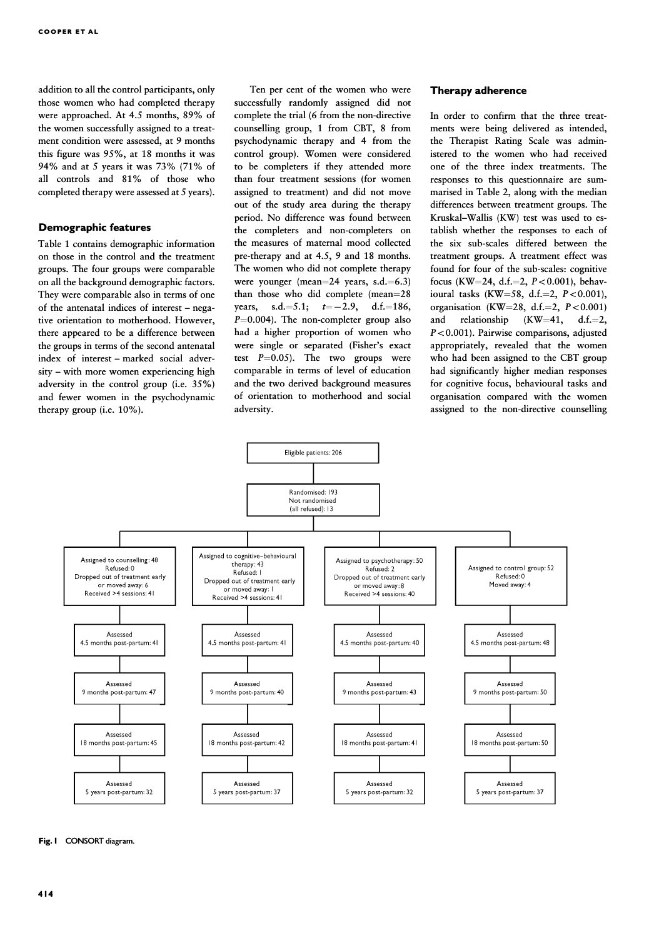addition to all the control participants, only those women who had completed therapy were approached. At 4.5 months, 89% of the women successfully assigned to a treatment condition were assessed, at 9 months this figure was 95%, at 18 months it was 94% and at 5 years it was 73% (71% of all controls and 81% of those who completed therapy were assessed at 5 years).

#### Demographic features

Table 1 contains demographic information on those in the control and the treatment groups. The four groups were comparable on all the background demographic factors. They were comparable also in terms of one of the antenatal indices of interest – negative orientation to motherhood. However, there appeared to be a difference between the groups in terms of the second antenatal index of interest – marked social adversity – with more women experiencing high adversity in the control group (i.e. 35%) and fewer women in the psychodynamic therapy group (i.e. 10%).

Ten per cent of the women who were successfully randomly assigned did not complete the trial (6 from the non-directive counselling group, 1 from CBT, 8 from psychodynamic therapy and 4 from the control group). Women were considered to be completers if they attended more than four treatment sessions (for women assigned to treatment) and did not move out of the study area during the therapy period. No difference was found between the completers and non-completers on the measures of maternal mood collected pre-therapy and at 4.5, 9 and 18 months. The women who did not complete therapy were younger (mean= $24$  years, s.d. = 6.3) than those who did complete  $(mean=28)$ years, s.d. = 5.1;  $t = -2.9$ , d.f. = 186.  $P=0.004$ ). The non-completer group also had a higher proportion of women who were single or separated (Fisher's exact test  $P=0.05$ ). The two groups were comparable in terms of level of education and the two derived background measures of orientation to motherhood and social adversity.

## Therapy adherence

In order to confirm that the three treatments were being delivered as intended, the Therapist Rating Scale was administered to the women who had received one of the three index treatments. The responses to this questionnaire are summarised in Table 2, along with the median differences between treatment groups. The Kruskal–Wallis (KW) test was used to establish whether the responses to each of the six sub-scales differed between the treatment groups. A treatment effect was found for four of the sub-scales: cognitive focus (KW=24, d.f.=2,  $P < 0.001$ ), behavioural tasks (KW $=$ 58, d.f. $=$ 2, P $<$ 0.001), organisation (KW=28, d.f.=2,  $P < 0.001$ ) and relationship  $(KW=41, d.f.=2,$  $P < 0.001$ ). Pairwise comparisons, adjusted appropriately, revealed that the women who had been assigned to the CBT group had significantly higher median responses for cognitive focus, behavioural tasks and organisation compared with the women assigned to the non-directive counselling



#### Fig. 1 CONSORT diagram.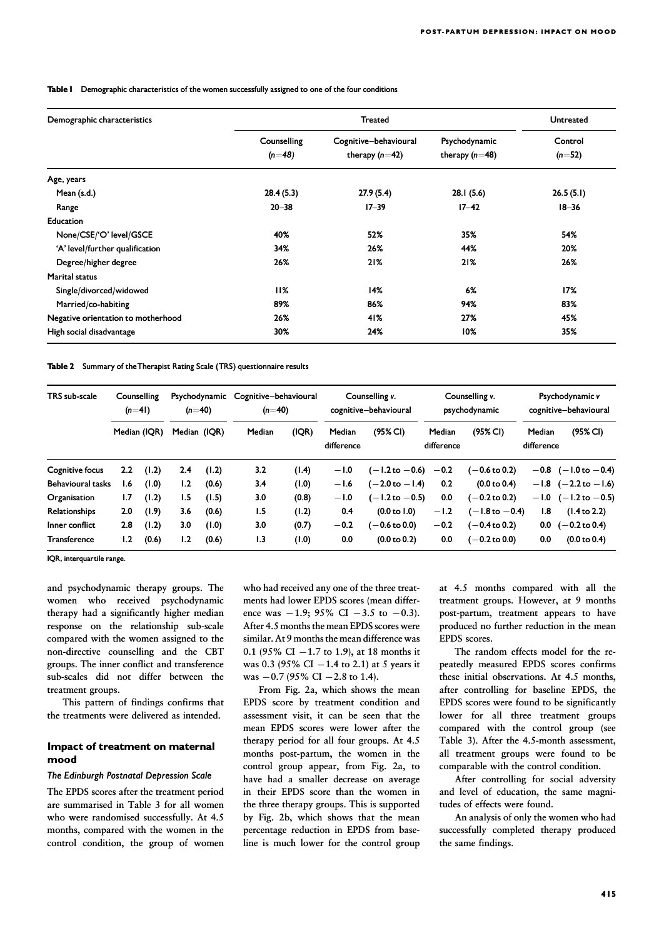Table I Demographic characteristics of the women successfully assigned to one of the four conditions

| Demographic characteristics        |                         | Untreated                                 |                                   |                     |
|------------------------------------|-------------------------|-------------------------------------------|-----------------------------------|---------------------|
|                                    | Counselling<br>$(n=48)$ | Cognitive-behavioural<br>therapy $(n=42)$ | Psychodynamic<br>therapy $(n=48)$ | Control<br>$(n=52)$ |
| Age, years                         |                         |                                           |                                   |                     |
| Mean (s.d.)                        | 28.4(5.3)               | 27.9(5.4)                                 | 28.1(5.6)                         | 26.5(5.1)           |
| Range                              | $20 - 38$               | $17 - 39$                                 | $17 - 42$                         | $18 - 36$           |
| Education                          |                         |                                           |                                   |                     |
| None/CSE/'O' level/GSCE            | 40%                     | 52%                                       | 35%                               | 54%                 |
| 'A' level/further qualification    | 34%                     | 26%                                       | 44%                               | 20%                 |
| Degree/higher degree               | 26%                     | 21%                                       | 21%                               | 26%                 |
| <b>Marital status</b>              |                         |                                           |                                   |                     |
| Single/divorced/widowed            | 11%                     | 14%                                       | 6%                                | 17%                 |
| Married/co-habiting                | 89%                     | 86%                                       | 94%                               | 83%                 |
| Negative orientation to motherhood | 26%                     | 41%                                       | 27%                               | 45%                 |
| High social disadvantage           | 30%                     | 24%                                       | $10\%$                            | 35%                 |

Table 2 Summary of the Therapist Rating Scale (TRS) questionnaire results

| TRS sub-scale            | Counselling<br>$(n=4)$ |              | Psychodynamic<br>$(n=40)$ |       | Cognitive-behavioural<br>$(n=40)$ |       | Counselling v.<br>cognitive-behavioural |                           | Counselling v.<br>psychodynamic |                           | Psychodynamic v<br>cognitive-behavioural |                                  |
|--------------------------|------------------------|--------------|---------------------------|-------|-----------------------------------|-------|-----------------------------------------|---------------------------|---------------------------------|---------------------------|------------------------------------------|----------------------------------|
|                          |                        | Median (IQR) | Median (IQR)              |       | Median                            | (IQR) | Median<br>difference                    | (95% CI)                  | Median<br>difference            | (95% CI)                  | Median<br>difference                     | (95% CI)                         |
| Cognitive focus          | 2.2                    | (1.2)        | 2.4                       | (1.2) | 3.2                               | (1.4) | $-1.0$                                  | (-1.2 to -0.6)            | $-0.2$                          | (-0.6 to 0.2)             |                                          | $-0.8$ (-1.0 to -0.4)            |
| <b>Behavioural tasks</b> | 1.6                    | (1.0)        | 1.2                       | (0.6) | 3.4                               | (0.1) | $-1.6$                                  | $(-2.0 \text{ to } -1.4)$ | 0.2                             | $(0.0 \text{ to } 0.4)$   |                                          | $-1.8$ $(-2.2 \text{ to } -1.6)$ |
| Organisation             | 1.7                    | (1.2)        | 1.5                       | (1.5) | 3.0                               | (0.8) | $-1.0$                                  | (-1.2 to -0.5)            | 0.0                             | $(-0.2 \text{ to } 0.2)$  |                                          | $-1.0$ ( $-1.2$ to $-0.5$ )      |
| <b>Relationships</b>     | 2.0                    | (1.9)        | 3.6                       | (0.6) | 1.5                               | (1.2) | 0.4                                     | $(0.0 \text{ to } 1.0)$   | $-1.2$                          | $(-1.8 \text{ to } -0.4)$ | 1.8                                      | $(1.4 \text{ to } 2.2)$          |
| Inner conflict           | 2.8                    | (1.2)        | 3.0                       | (1.0) | 3.0                               | (0.7) | $-0.2$                                  | (-0.6 to 0.0)             | $-0.2$                          | (-0.4 to 0.2)             | 0.0                                      | $(-0.2 \text{ to } 0.4)$         |
| <b>Transference</b>      | 1.2                    | (0.6)        | 1.2                       | (0.6) | 1.3                               | (1.0) | 0.0                                     | $(0.0 \text{ to } 0.2)$   | 0.0                             | (-0.2 to 0.0)             | 0.0                                      | $(0.0 \text{ to } 0.4)$          |

IQR, interquartile range.

and psychodynamic therapy groups. The women who received psychodynamic therapy had a significantly higher median response on the relationship sub-scale compared with the women assigned to the non-directive counselling and the CBT groups. The inner conflict and transference sub-scales did not differ between the treatment groups.

This pattern of findings confirms that the treatments were delivered as intended.

#### Impact of treatment on maternal mood

#### The Edinburgh Postnatal Depression Scale

The EPDS scores after the treatment period are summarised in Table 3 for all women who were randomised successfully. At 4.5 months, compared with the women in the control condition, the group of women

who had received any one of the three treatments had lower EPDS scores (mean difference was  $-1.9$ ; 95% CI  $-3.5$  to  $-0.3$ ). After 4.5 months the mean EPDS scores were similar. At 9 months the mean difference was 0.1 (95% CI  $-1.7$  to 1.9), at 18 months it was 0.3 (95% CI  $-1.4$  to 2.1) at 5 years it was  $-0.7$  (95% CI  $-2.8$  to 1.4).

From Fig. 2a, which shows the mean EPDS score by treatment condition and assessment visit, it can be seen that the mean EPDS scores were lower after the therapy period for all four groups. At 4.5 months post-partum, the women in the control group appear, from Fig. 2a, to have had a smaller decrease on average in their EPDS score than the women in the three therapy groups. This is supported by Fig. 2b, which shows that the mean percentage reduction in EPDS from baseline is much lower for the control group at 4.5 months compared with all the treatment groups. However, at 9 months post-partum, treatment appears to have produced no further reduction in the mean EPDS scores.

The random effects model for the repeatedly measured EPDS scores confirms these initial observations. At 4.5 months, after controlling for baseline EPDS, the EPDS scores were found to be significantly lower for all three treatment groups compared with the control group (see Table 3). After the 4.5-month assessment, all treatment groups were found to be comparable with the control condition.

After controlling for social adversity and level of education, the same magnitudes of effects were found.

An analysis of only the women who had successfully completed therapy produced the same findings.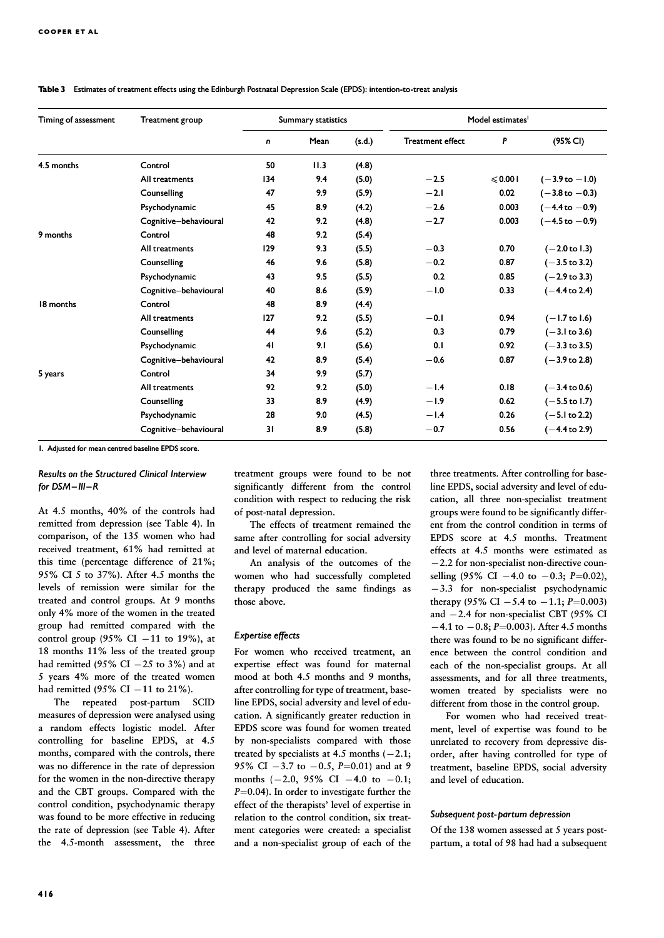| Timing of assessment | Treatment group       | <b>Summary statistics</b> |      |        | Model estimates <sup>1</sup> |         |                           |
|----------------------|-----------------------|---------------------------|------|--------|------------------------------|---------|---------------------------|
|                      |                       | n                         | Mean | (s.d.) | <b>Treatment effect</b>      | P       | (95% CI)                  |
| 4.5 months           | Control               | 50                        | 11.3 | (4.8)  |                              |         |                           |
|                      | All treatments        | 134                       | 9.4  | (5.0)  | $-2.5$                       | ≤ 0.001 | $(-3.9 \text{ to } -1.0)$ |
|                      | Counselling           | 47                        | 9.9  | (5.9)  | $-2.1$                       | 0.02    | $(-3.8 \text{ to } -0.3)$ |
|                      | Psychodynamic         | 45                        | 8.9  | (4.2)  | $-2.6$                       | 0.003   | $(-4.4 \text{ to } -0.9)$ |
|                      | Cognitive-behavioural | 42                        | 9.2  | (4.8)  | $-2.7$                       | 0.003   | $(-4.5 \text{ to } -0.9)$ |
| 9 months             | Control               | 48                        | 9.2  | (5.4)  |                              |         |                           |
|                      | All treatments        | 129                       | 9.3  | (5.5)  | $-0.3$                       | 0.70    | $(-2.0 \text{ to } 1.3)$  |
|                      | Counselling           | 46                        | 9.6  | (5.8)  | $-0.2$                       | 0.87    | $(-3.5 \text{ to } 3.2)$  |
|                      | Psychodynamic         | 43                        | 9.5  | (5.5)  | 0.2                          | 0.85    | $(-2.9 \text{ to } 3.3)$  |
|                      | Cognitive-behavioural | 40                        | 8.6  | (5.9)  | $-1.0$                       | 0.33    | $(-4.4 \text{ to } 2.4)$  |
| 18 months            | Control               | 48                        | 8.9  | (4.4)  |                              |         |                           |
|                      | All treatments        | 127                       | 9.2  | (5.5)  | $-0.1$                       | 0.94    | $(-1.7 \text{ to } 1.6)$  |
|                      | Counselling           | 44                        | 9.6  | (5.2)  | 0.3                          | 0.79    | $(-3.1 \text{ to } 3.6)$  |
|                      | Psychodynamic         | 41                        | 9.1  | (5.6)  | 0.1                          | 0.92    | $(-3.3 \text{ to } 3.5)$  |
|                      | Cognitive-behavioural | 42                        | 8.9  | (5.4)  | $-0.6$                       | 0.87    | $(-3.9 \text{ to } 2.8)$  |
| 5 years              | Control               | 34                        | 9.9  | (5.7)  |                              |         |                           |
|                      | All treatments        | 92                        | 9.2  | (5.0)  | $-1.4$                       | 0.18    | $(-3.4 \text{ to } 0.6)$  |
|                      | Counselling           | 33                        | 8.9  | (4.9)  | $-1.9$                       | 0.62    | $(-5.5 \text{ to } 1.7)$  |
|                      | Psychodynamic         | 28                        | 9.0  | (4.5)  | $-1.4$                       | 0.26    | $(-5.1 \text{ to } 2.2)$  |
|                      | Cognitive-behavioural | 31                        | 8.9  | (5.8)  | $-0.7$                       | 0.56    | $(-4.4 \text{ to } 2.9)$  |

#### Table 3 Estimates of treatment effects using the Edinburgh Postnatal Depression Scale (EPDS): intention-to-treat analysis

1. Adjusted for mean centred baseline EPDS score. 1. Adjusted for mean centred baseline EPDS

#### Results on the Structured Clinical Interview for  $DSM - III - R$

At 4.5 months, 40% of the controls had remitted from depression (see Table 4). In comparison, of the 135 women who had received treatment, 61% had remitted at this time (percentage difference of 21%; 95% CI 5 to 37%). After 4.5 months the levels of remission were similar for the treated and control groups. At 9 months only 4% more of the women in the treated group had remitted compared with the control group (95% CI  $-11$  to 19%), at 18 months 11% less of the treated group had remitted (95% CI  $-25$  to 3%) and at 5 years 4% more of the treated women had remitted (95% CI  $-11$  to 21%).

The repeated post-partum SCID measures of depression were analysed using a random effects logistic model. After controlling for baseline EPDS, at 4.5 months, compared with the controls, there was no difference in the rate of depression for the women in the non-directive therapy and the CBT groups. Compared with the control condition, psychodynamic therapy was found to be more effective in reducing the rate of depression (see Table 4). After the 4.5-month assessment, the three treatment groups were found to be not significantly different from the control condition with respect to reducing the risk of post-natal depression.

The effects of treatment remained the same after controlling for social adversity and level of maternal education.

An analysis of the outcomes of the women who had successfully completed therapy produced the same findings as those above.

#### Expertise effects

For women who received treatment, an expertise effect was found for maternal mood at both 4.5 months and 9 months, after controlling for type of treatment, baseline EPDS, social adversity and level of education. A significantly greater reduction in EPDS score was found for women treated by non-specialists compared with those treated by specialists at 4.5 months  $(-2.1;$ 95% CI  $-3.7$  to  $-0.5$ ,  $P=0.01$ ) and at 9 months  $(-2.0, 95\% \text{ CI} -4.0 \text{ to } -0.1;$  $P=0.04$ ). In order to investigate further the effect of the therapists' level of expertise in relation to the control condition, six treatment categories were created: a specialist and a non-specialist group of each of the

three treatments. After controlling for baseline EPDS, social adversity and level of education, all three non-specialist treatment groups were found to be significantly different from the control condition in terms of EPDS score at 4.5 months. Treatment effects at 4.5 months were estimated as  $-2.2$  for non-specialist non-directive counselling (95% CI  $-4.0$  to  $-0.3$ ; P=0.02),  $-3.3$  for non-specialist psychodynamic therapy (95% CI  $-5.4$  to  $-1.1$ ; P=0.003) and  $-2.4$  for non-specialist CBT (95% CI  $-4.1$  to  $-0.8$ ; P=0.003). After 4.5 months there was found to be no significant difference between the control condition and each of the non-specialist groups. At all assessments, and for all three treatments, women treated by specialists were no different from those in the control group.

For women who had received treatment, level of expertise was found to be unrelated to recovery from depressive disorder, after having controlled for type of treatment, baseline EPDS, social adversity and level of education.

#### Subsequent post-partum depression

Of the 138 women assessed at 5 years postpartum, a total of 98 had had a subsequent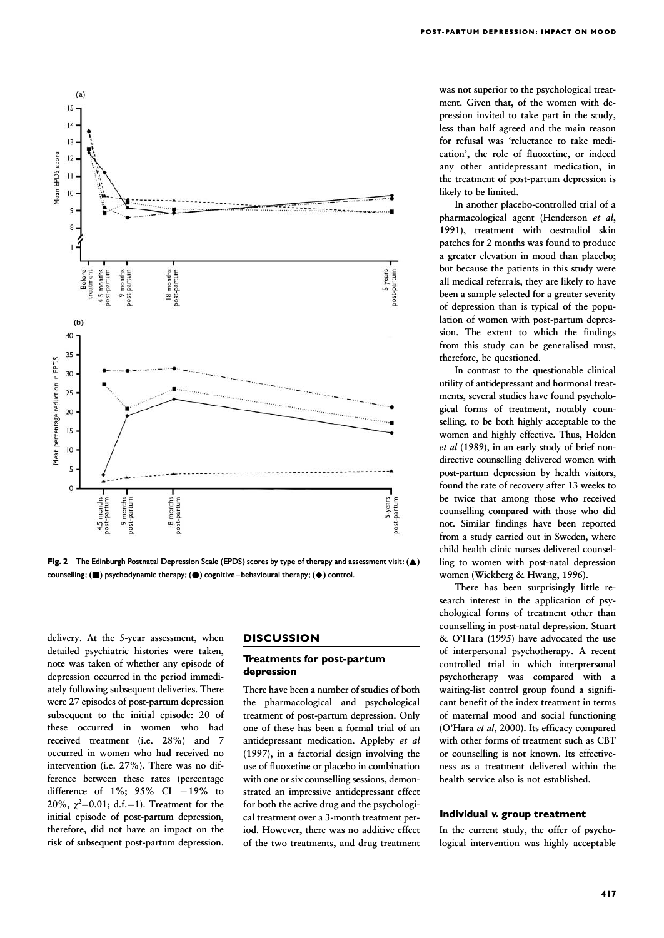

was not superior to the psychological treatment. Given that, of the women with depression invited to take part in the study, less than half agreed and the main reason for refusal was 'reluctance to take medication', the role of fluoxetine, or indeed any other antidepressant medication, in the treatment of post-partum depression is likely to be limited.

In another placebo-controlled trial of a pharmacological agent (Henderson et al, 1991), treatment with oestradiol skin patches for 2 months was found to produce a greater elevation in mood than placebo; but because the patients in this study were all medical referrals, they are likely to have been a sample selected for a greater severity of depression than is typical of the population of women with post-partum depression. The extent to which the findings from this study can be generalised must, therefore, be questioned.

In contrast to the questionable clinical utility of antidepressant and hormonal treatments, several studies have found psychological forms of treatment, notably counselling, to be both highly acceptable to the women and highly effective. Thus, Holden  $et$  al (1989), in an early study of brief nondirective counselling delivered women with post-partum depression by health visitors, found the rate of recovery after 13 weeks to be twice that among those who received counselling compared with those who did not. Similar findings have been reported from a study carried out in Sweden, where child health clinic nurses delivered counselling to women with post-natal depression women (Wickberg & Hwang, 1996).

There has been surprisingly little research interest in the application of psychological forms of treatment other than counselling in post-natal depression. Stuart & O'Hara (1995) have advocated the use of interpersonal psychotherapy. A recent controlled trial in which interprersonal psychotherapy was compared with a waiting-list control group found a significant benefit of the index treatment in terms of maternal mood and social functioning (O'Hara et al, 2000). Its efficacy compared with other forms of treatment such as CBT or counselling is not known. Its effectiveness as a treatment delivered within the health service also is not established.

#### Individual v. group treatment

In the current study, the offer of psychological intervention was highly acceptable

Fig. 2 The Edinburgh Postnatal Depression Scale (EPDS) scores by type of therapy and assessment visit:  $(A)$ counselling; ( $\blacksquare$ ) psychodynamic therapy; ( $\spadesuit$ ) cognitive -behavioural therapy; ( $\spadesuit$ ) control.

delivery. At the 5-year assessment, when detailed psychiatric histories were taken, note was taken of whether any episode of depression occurred in the period immediately following subsequent deliveries. There were 27 episodes of post-partum depression subsequent to the initial episode: 20 of these occurred in women who had received treatment (i.e. 28%) and 7 occurred in women who had received no intervention (i.e. 27%). There was no difference between these rates (percentage difference of  $1\%$ ;  $95\%$  CI  $-19\%$  to 20%,  $\chi^2$ =0.01; d.f.=1). Treatment for the initial episode of post-partum depression, therefore, did not have an impact on the risk of subsequent post-partum depression.

## **DISCUSSION**

#### Treatments for post-partum depression

There have been a number of studies of both the pharmacological and psychological treatment of post-partum depression. Only one of these has been a formal trial of an antidepressant medication. Appleby et al (1997), in a factorial design involving the use of fluoxetine or placebo in combination with one or six counselling sessions, demonstrated an impressive antidepressant effect for both the active drug and the psychological treatment over a 3-month treatment period. However, there was no additive effect of the two treatments, and drug treatment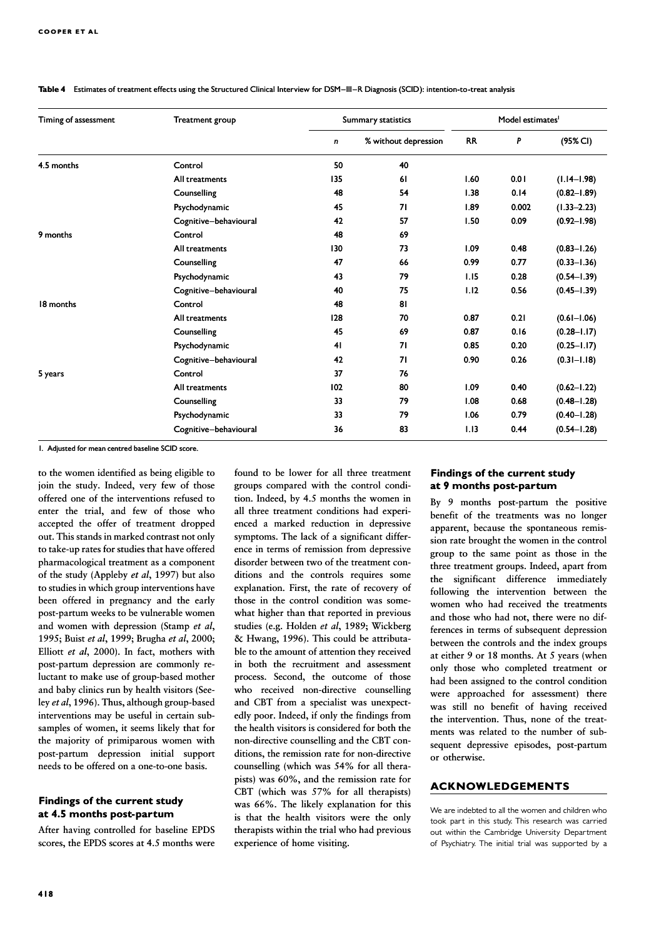| Timing of assessment | Treatment group       |     | Summary statistics   | Model estimates <sup>1</sup> |       |                 |
|----------------------|-----------------------|-----|----------------------|------------------------------|-------|-----------------|
|                      |                       | n   | % without depression | <b>RR</b>                    | P     | (95% CI)        |
| 4.5 months           | Control               | 50  | 40                   |                              |       |                 |
|                      | All treatments        | 135 | <b>61</b>            | 1.60                         | 0.01  | $(1.14 - 1.98)$ |
|                      | Counselling           | 48  | 54                   | 1.38                         | 0.14  | $(0.82 - 1.89)$ |
|                      | Psychodynamic         | 45  | 71                   | 1.89                         | 0.002 | $(1.33 - 2.23)$ |
|                      | Cognitive-behavioural | 42  | 57                   | 1.50                         | 0.09  | $(0.92 - 1.98)$ |
| 9 months             | Control               | 48  | 69                   |                              |       |                 |
|                      | All treatments        | 130 | 73                   | 1.09                         | 0.48  | $(0.83 - 1.26)$ |
|                      | Counselling           | 47  | 66                   | 0.99                         | 0.77  | $(0.33 - 1.36)$ |
|                      | Psychodynamic         | 43  | 79                   | 1.15                         | 0.28  | $(0.54 - 1.39)$ |
|                      | Cognitive-behavioural | 40  | 75                   | 1.12                         | 0.56  | $(0.45 - 1.39)$ |
| 18 months            | Control               | 48  | 81                   |                              |       |                 |
|                      | All treatments        | 128 | 70                   | 0.87                         | 0.21  | $(0.61 - 1.06)$ |
|                      | Counselling           | 45  | 69                   | 0.87                         | 0.16  | $(0.28 - 1.17)$ |
|                      | Psychodynamic         | 41  | 71                   | 0.85                         | 0.20  | $(0.25 - 1.17)$ |
|                      | Cognitive-behavioural | 42  | 71                   | 0.90                         | 0.26  | $(0.31 - 1.18)$ |
| 5 years              | Control               | 37  | 76                   |                              |       |                 |
|                      | All treatments        | 102 | 80                   | 1.09                         | 0.40  | $(0.62 - 1.22)$ |
|                      | Counselling           | 33  | 79                   | 1.08                         | 0.68  | $(0.48 - 1.28)$ |
|                      | Psychodynamic         | 33  | 79                   | 1.06                         | 0.79  | $(0.40 - 1.28)$ |
|                      | Cognitive-behavioural | 36  | 83                   | 1.13                         | 0.44  | $(0.54 - 1.28)$ |

Table 4 Estimates of treatment effects using the Structured Clinical Interview for DSM-III-R Diagnosis (SCID): intention-to-treat analysis

1. Adjusted for mean centred baseline SCID score. 1. Adjusted for mean centred baseline SCID

to the women identified as being eligible to join the study. Indeed, very few of those offered one of the interventions refused to enter the trial, and few of those who accepted the offer of treatment dropped out. This stands in marked contrast not only to take-up rates for studies that have offered pharmacological treatment as a component of the study (Appleby et al, 1997) but also to studies in which group interventions have been offered in pregnancy and the early post-partum weeks to be vulnerable women and women with depression (Stamp et al, 1995; Buist et al, 1999; Brugha et al, 2000; Elliott et al, 2000). In fact, mothers with post-partum depression are commonly reluctant to make use of group-based mother and baby clinics run by health visitors (Seeley et al, 1996). Thus, although group-based interventions may be useful in certain subsamples of women, it seems likely that for the majority of primiparous women with post-partum depression initial support needs to be offered on a one-to-one basis.

# Findings of the current study at 4.5 months post-partum

After having controlled for baseline EPDS scores, the EPDS scores at 4.5 months were

found to be lower for all three treatment groups compared with the control condition. Indeed, by 4.5 months the women in all three treatment conditions had experienced a marked reduction in depressive symptoms. The lack of a significant difference in terms of remission from depressive disorder between two of the treatment conditions and the controls requires some explanation. First, the rate of recovery of those in the control condition was somewhat higher than that reported in previous studies (e.g. Holden et al, 1989; Wickberg & Hwang, 1996). This could be attributable to the amount of attention they received in both the recruitment and assessment process. Second, the outcome of those who received non-directive counselling and CBT from a specialist was unexpectedly poor. Indeed, if only the findings from the health visitors is considered for both the non-directive counselling and the CBT conditions, the remission rate for non-directive counselling (which was 54% for all therapists) was 60%, and the remission rate for CBT (which was 57% for all therapists) was 66%. The likely explanation for this is that the health visitors were the only therapists within the trial who had previous experience of home visiting.

# Findings of the current study at 9 months post-partum

By 9 months post-partum the positive benefit of the treatments was no longer apparent, because the spontaneous remission rate brought the women in the control group to the same point as those in the three treatment groups. Indeed, apart from the significant difference immediately following the intervention between the women who had received the treatments and those who had not, there were no differences in terms of subsequent depression between the controls and the index groups at either 9 or 18 months. At 5 years (when only those who completed treatment or had been assigned to the control condition were approached for assessment) there was still no benefit of having received the intervention. Thus, none of the treatments was related to the number of subsequent depressive episodes, post-partum or otherwise.

## ACKNOWLEDGEMENTS

We are indebted to all the women and children who took part in this study. This research was carried out within the Cambridge University Department of Psychiatry. The initial trial was supported by a